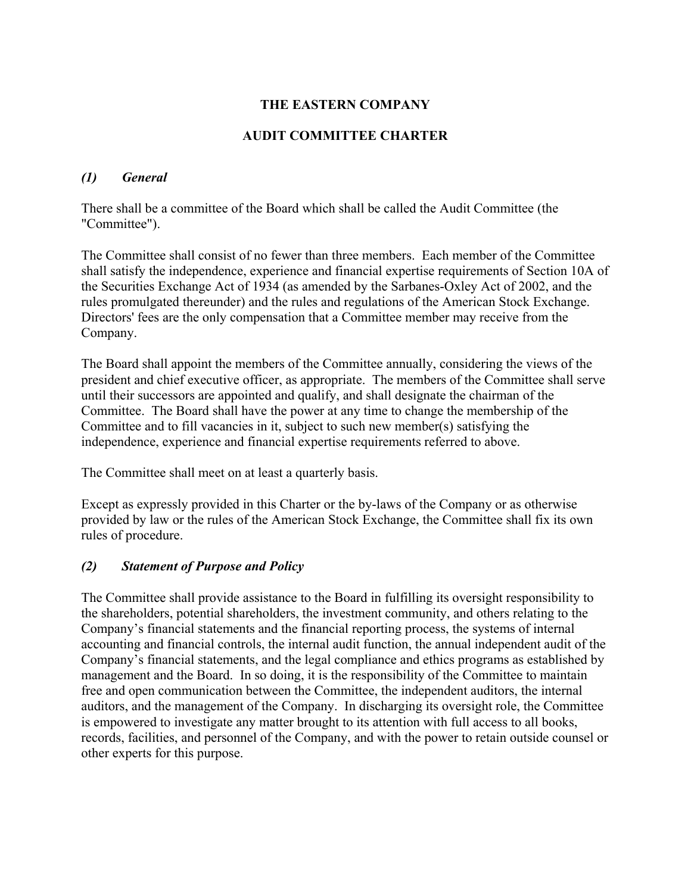# **THE EASTERN COMPANY**

## **AUDIT COMMITTEE CHARTER**

#### *(1) General*

There shall be a committee of the Board which shall be called the Audit Committee (the "Committee").

The Committee shall consist of no fewer than three members. Each member of the Committee shall satisfy the independence, experience and financial expertise requirements of Section 10A of the Securities Exchange Act of 1934 (as amended by the Sarbanes-Oxley Act of 2002, and the rules promulgated thereunder) and the rules and regulations of the American Stock Exchange. Directors' fees are the only compensation that a Committee member may receive from the Company.

The Board shall appoint the members of the Committee annually, considering the views of the president and chief executive officer, as appropriate. The members of the Committee shall serve until their successors are appointed and qualify, and shall designate the chairman of the Committee. The Board shall have the power at any time to change the membership of the Committee and to fill vacancies in it, subject to such new member(s) satisfying the independence, experience and financial expertise requirements referred to above.

The Committee shall meet on at least a quarterly basis.

Except as expressly provided in this Charter or the by-laws of the Company or as otherwise provided by law or the rules of the American Stock Exchange, the Committee shall fix its own rules of procedure.

## *(2) Statement of Purpose and Policy*

The Committee shall provide assistance to the Board in fulfilling its oversight responsibility to the shareholders, potential shareholders, the investment community, and others relating to the Company's financial statements and the financial reporting process, the systems of internal accounting and financial controls, the internal audit function, the annual independent audit of the Company's financial statements, and the legal compliance and ethics programs as established by management and the Board. In so doing, it is the responsibility of the Committee to maintain free and open communication between the Committee, the independent auditors, the internal auditors, and the management of the Company. In discharging its oversight role, the Committee is empowered to investigate any matter brought to its attention with full access to all books, records, facilities, and personnel of the Company, and with the power to retain outside counsel or other experts for this purpose.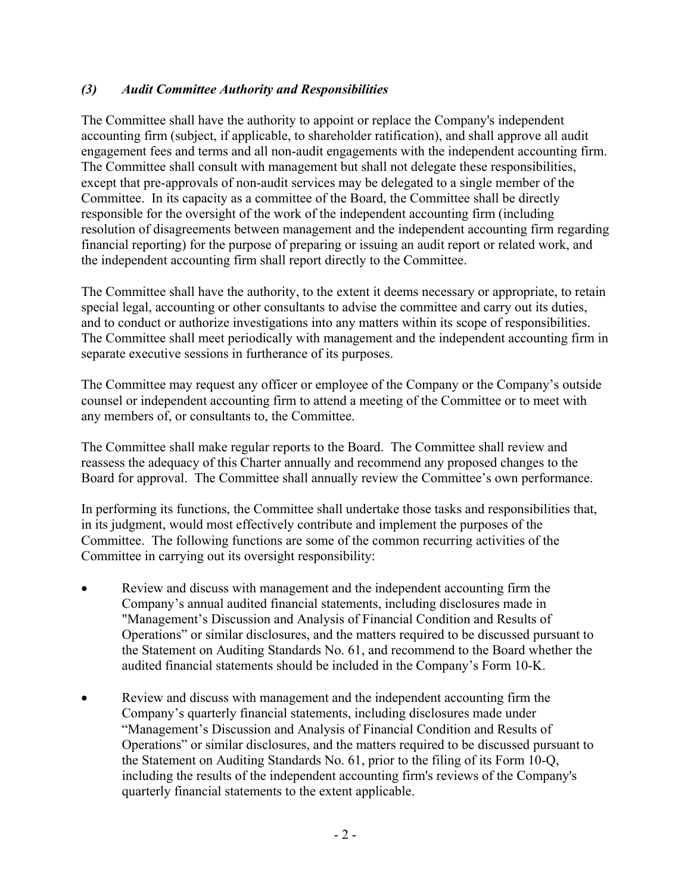## *(3) Audit Committee Authority and Responsibilities*

The Committee shall have the authority to appoint or replace the Company's independent accounting firm (subject, if applicable, to shareholder ratification), and shall approve all audit engagement fees and terms and all non-audit engagements with the independent accounting firm. The Committee shall consult with management but shall not delegate these responsibilities, except that pre-approvals of non-audit services may be delegated to a single member of the Committee. In its capacity as a committee of the Board, the Committee shall be directly responsible for the oversight of the work of the independent accounting firm (including resolution of disagreements between management and the independent accounting firm regarding financial reporting) for the purpose of preparing or issuing an audit report or related work, and the independent accounting firm shall report directly to the Committee.

The Committee shall have the authority, to the extent it deems necessary or appropriate, to retain special legal, accounting or other consultants to advise the committee and carry out its duties, and to conduct or authorize investigations into any matters within its scope of responsibilities. The Committee shall meet periodically with management and the independent accounting firm in separate executive sessions in furtherance of its purposes.

The Committee may request any officer or employee of the Company or the Company's outside counsel or independent accounting firm to attend a meeting of the Committee or to meet with any members of, or consultants to, the Committee.

The Committee shall make regular reports to the Board. The Committee shall review and reassess the adequacy of this Charter annually and recommend any proposed changes to the Board for approval. The Committee shall annually review the Committee's own performance.

In performing its functions, the Committee shall undertake those tasks and responsibilities that, in its judgment, would most effectively contribute and implement the purposes of the Committee. The following functions are some of the common recurring activities of the Committee in carrying out its oversight responsibility:

- Review and discuss with management and the independent accounting firm the Company's annual audited financial statements, including disclosures made in "Management's Discussion and Analysis of Financial Condition and Results of Operations" or similar disclosures, and the matters required to be discussed pursuant to the Statement on Auditing Standards No. 61, and recommend to the Board whether the audited financial statements should be included in the Company's Form 10-K.
- Review and discuss with management and the independent accounting firm the Company's quarterly financial statements, including disclosures made under "Management's Discussion and Analysis of Financial Condition and Results of Operations" or similar disclosures, and the matters required to be discussed pursuant to the Statement on Auditing Standards No. 61, prior to the filing of its Form 10-Q, including the results of the independent accounting firm's reviews of the Company's quarterly financial statements to the extent applicable.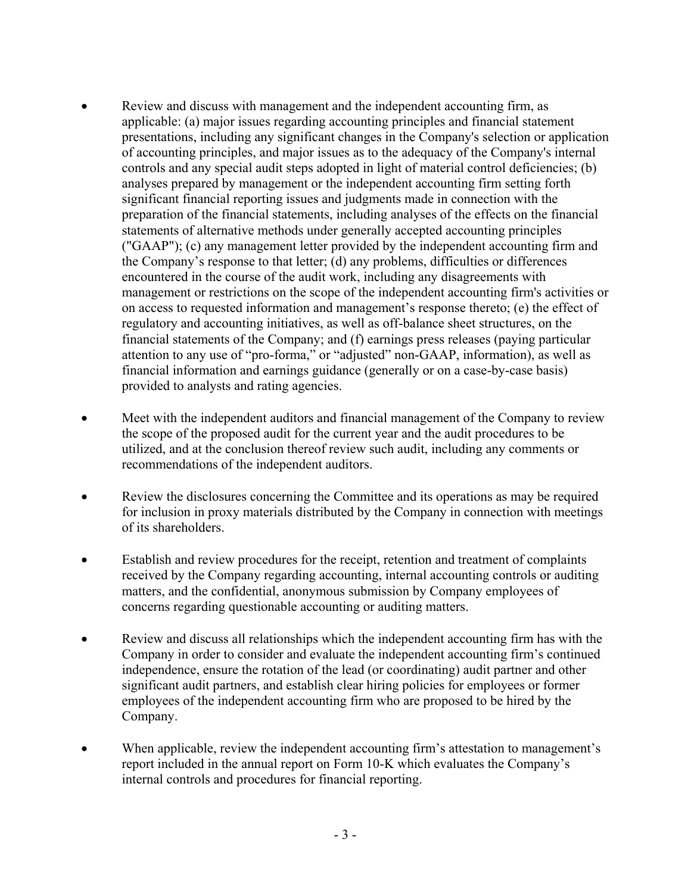- Review and discuss with management and the independent accounting firm, as applicable: (a) major issues regarding accounting principles and financial statement presentations, including any significant changes in the Company's selection or application of accounting principles, and major issues as to the adequacy of the Company's internal controls and any special audit steps adopted in light of material control deficiencies; (b) analyses prepared by management or the independent accounting firm setting forth significant financial reporting issues and judgments made in connection with the preparation of the financial statements, including analyses of the effects on the financial statements of alternative methods under generally accepted accounting principles ("GAAP"); (c) any management letter provided by the independent accounting firm and the Company's response to that letter; (d) any problems, difficulties or differences encountered in the course of the audit work, including any disagreements with management or restrictions on the scope of the independent accounting firm's activities or on access to requested information and management's response thereto; (e) the effect of regulatory and accounting initiatives, as well as off-balance sheet structures, on the financial statements of the Company; and (f) earnings press releases (paying particular attention to any use of "pro-forma," or "adjusted" non-GAAP, information), as well as financial information and earnings guidance (generally or on a case-by-case basis) provided to analysts and rating agencies.
- Meet with the independent auditors and financial management of the Company to review the scope of the proposed audit for the current year and the audit procedures to be utilized, and at the conclusion thereof review such audit, including any comments or recommendations of the independent auditors.
- Review the disclosures concerning the Committee and its operations as may be required for inclusion in proxy materials distributed by the Company in connection with meetings of its shareholders.
- Establish and review procedures for the receipt, retention and treatment of complaints received by the Company regarding accounting, internal accounting controls or auditing matters, and the confidential, anonymous submission by Company employees of concerns regarding questionable accounting or auditing matters.
- Review and discuss all relationships which the independent accounting firm has with the Company in order to consider and evaluate the independent accounting firm's continued independence, ensure the rotation of the lead (or coordinating) audit partner and other significant audit partners, and establish clear hiring policies for employees or former employees of the independent accounting firm who are proposed to be hired by the Company.
- When applicable, review the independent accounting firm's attestation to management's report included in the annual report on Form 10-K which evaluates the Company's internal controls and procedures for financial reporting.